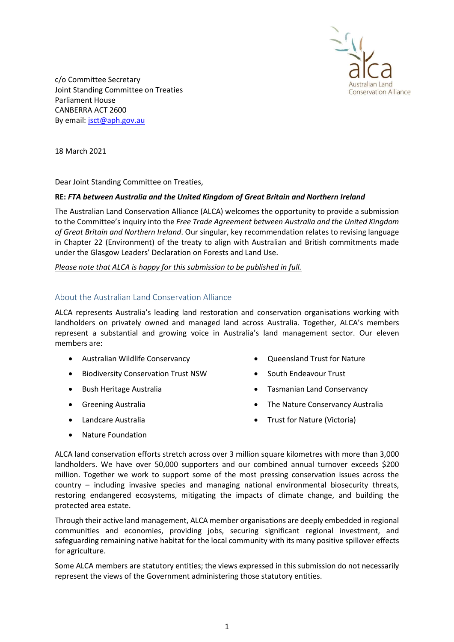

c/o Committee Secretary Joint Standing Committee on Treaties Parliament House CANBERRA ACT 2600 By email: jsct@aph.gov.au

18 March 2021

Dear Joint Standing Committee on Treaties,

## RE: FTA between Australia and the United Kingdom of Great Britain and Northern Ireland

The Australian Land Conservation Alliance (ALCA) welcomes the opportunity to provide a submission to the Committee's inquiry into the Free Trade Agreement between Australia and the United Kingdom of Great Britain and Northern Ireland. Our singular, key recommendation relates to revising language in Chapter 22 (Environment) of the treaty to align with Australian and British commitments made under the Glasgow Leaders' Declaration on Forests and Land Use.

Please note that ALCA is happy for this submission to be published in full.

## About the Australian Land Conservation Alliance

ALCA represents Australia's leading land restoration and conservation organisations working with landholders on privately owned and managed land across Australia. Together, ALCA's members represent a substantial and growing voice in Australia's land management sector. Our eleven members are:

- Australian Wildlife Conservancy
- **•** Biodiversity Conservation Trust NSW
- Bush Heritage Australia
- **•** Greening Australia
- Landcare Australia
- Nature Foundation
- Oueensland Trust for Nature
- South Endeavour Trust
- Tasmanian Land Conservancy
- The Nature Conservancy Australia
- Trust for Nature (Victoria)
- ALCA land conservation efforts stretch across over 3 million square kilometres with more than 3,000 landholders. We have over 50,000 supporters and our combined annual turnover exceeds \$200 million. Together we work to support some of the most pressing conservation issues across the country – including invasive species and managing national environmental biosecurity threats, restoring endangered ecosystems, mitigating the impacts of climate change, and building the protected area estate.

Through their active land management, ALCA member organisations are deeply embedded in regional communities and economies, providing jobs, securing significant regional investment, and safeguarding remaining native habitat for the local community with its many positive spillover effects for agriculture.

Some ALCA members are statutory entities; the views expressed in this submission do not necessarily represent the views of the Government administering those statutory entities.